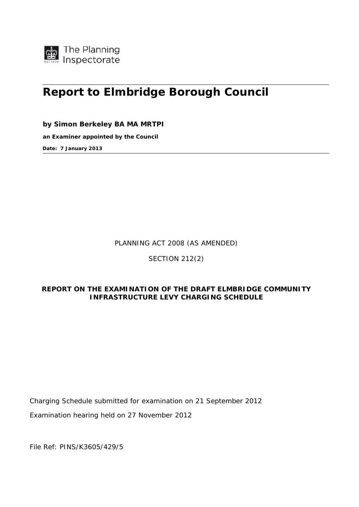

# **Report to Elmbridge Borough Council**

**by Simon Berkeley BA MA MRTPI** 

**an Examiner appointed by the Council** 

**Date: 7 January 2013** 

PLANNING ACT 2008 (AS AMENDED)

SECTION 212(2)

# **REPORT ON THE EXAMINATION OF THE DRAFT ELMBRIDGE COMMUNITY INFRASTRUCTURE LEVY CHARGING SCHEDULE**

Charging Schedule submitted for examination on 21 September 2012

Examination hearing held on 27 November 2012

File Ref: PINS/K3605/429/5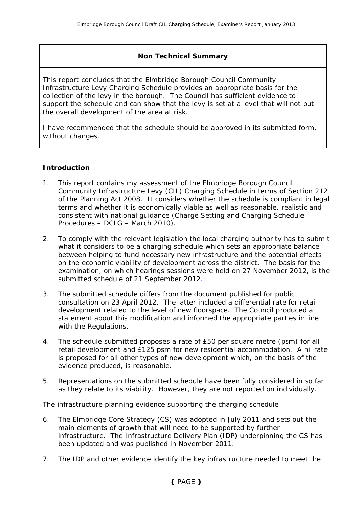## **Non Technical Summary**

This report concludes that the Elmbridge Borough Council Community Infrastructure Levy Charging Schedule provides an appropriate basis for the collection of the levy in the borough. The Council has sufficient evidence to support the schedule and can show that the levy is set at a level that will not put the overall development of the area at risk.

I have recommended that the schedule should be approved in its submitted form, without changes.

## **Introduction**

- 1. This report contains my assessment of the Elmbridge Borough Council Community Infrastructure Levy (CIL) Charging Schedule in terms of Section 212 of the Planning Act 2008. It considers whether the schedule is compliant in legal terms and whether it is economically viable as well as reasonable, realistic and consistent with national guidance (Charge Setting and Charging Schedule Procedures – DCLG – March 2010).
- 2. To comply with the relevant legislation the local charging authority has to submit what it considers to be a charging schedule which sets an appropriate balance between helping to fund necessary new infrastructure and the potential effects on the economic viability of development across the district. The basis for the examination, on which hearings sessions were held on 27 November 2012, is the submitted schedule of 21 September 2012.
- 3. The submitted schedule differs from the document published for public consultation on 23 April 2012. The latter included a differential rate for retail development related to the level of new floorspace. The Council produced a statement about this modification and informed the appropriate parties in line with the Regulations.
- 4. The schedule submitted proposes a rate of £50 per square metre (psm) for all retail development and £125 psm for new residential accommodation. A nil rate is proposed for all other types of new development which, on the basis of the evidence produced, is reasonable.
- 5. Representations on the submitted schedule have been fully considered in so far as they relate to its viability. However, they are not reported on individually.

#### *The infrastructure planning evidence supporting the charging schedule*

- 6. The Elmbridge Core Strategy (CS) was adopted in July 2011 and sets out the main elements of growth that will need to be supported by further infrastructure. The Infrastructure Delivery Plan (IDP) underpinning the CS has been updated and was published in November 2011.
- 7. The IDP and other evidence identify the key infrastructure needed to meet the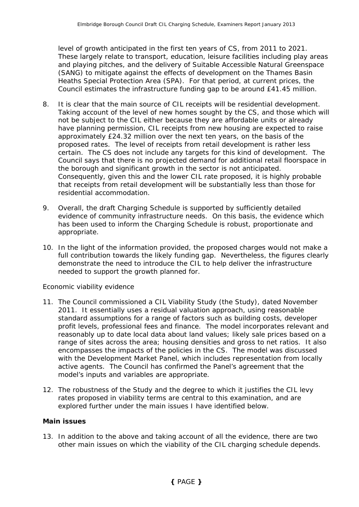level of growth anticipated in the first ten years of CS, from 2011 to 2021. These largely relate to transport, education, leisure facilities including play areas and playing pitches, and the delivery of Suitable Accessible Natural Greenspace (SANG) to mitigate against the effects of development on the Thames Basin Heaths Special Protection Area (SPA). For that period, at current prices, the Council estimates the infrastructure funding gap to be around £41.45 million.

- 8. It is clear that the main source of CIL receipts will be residential development. Taking account of the level of new homes sought by the CS, and those which will not be subject to the CIL either because they are affordable units or already have planning permission, CIL receipts from new housing are expected to raise approximately £24.32 million over the next ten years, on the basis of the proposed rates. The level of receipts from retail development is rather less certain. The CS does not include any targets for this kind of development. The Council says that there is no projected demand for additional retail floorspace in the borough and significant growth in the sector is not anticipated. Consequently, given this and the lower CIL rate proposed, it is highly probable that receipts from retail development will be substantially less than those for residential accommodation.
- 9. Overall, the draft Charging Schedule is supported by sufficiently detailed evidence of community infrastructure needs. On this basis, the evidence which has been used to inform the Charging Schedule is robust, proportionate and appropriate.
- 10. In the light of the information provided, the proposed charges would not make a full contribution towards the likely funding gap. Nevertheless, the figures clearly demonstrate the need to introduce the CIL to help deliver the infrastructure needed to support the growth planned for.

#### *Economic viability evidence*

- 11. The Council commissioned a CIL Viability Study (the Study), dated November 2011. It essentially uses a residual valuation approach, using reasonable standard assumptions for a range of factors such as building costs, developer profit levels, professional fees and finance. The model incorporates relevant and reasonably up to date local data about land values; likely sale prices based on a range of sites across the area; housing densities and gross to net ratios. It also encompasses the impacts of the policies in the CS. The model was discussed with the Development Market Panel, which includes representation from locally active agents. The Council has confirmed the Panel's agreement that the model's inputs and variables are appropriate.
- 12. The robustness of the Study and the degree to which it justifies the CIL levy rates proposed in viability terms are central to this examination, and are explored further under the main issues I have identified below.

#### **Main issues**

13. In addition to the above and taking account of all the evidence, there are two other main issues on which the viability of the CIL charging schedule depends.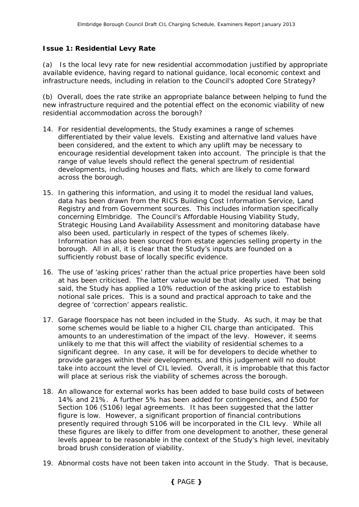## **Issue 1: Residential Levy Rate**

(a) *Is the local levy rate for new residential accommodation justified by appropriate available evidence, having regard to national guidance, local economic context and infrastructure needs, including in relation to the Council's adopted Core Strategy?* 

*(b) Overall, does the rate strike an appropriate balance between helping to fund the new infrastructure required and the potential effect on the economic viability of new residential accommodation across the borough?* 

- 14. For residential developments, the Study examines a range of schemes differentiated by their value levels. Existing and alternative land values have been considered, and the extent to which any uplift may be necessary to encourage residential development taken into account. The principle is that the range of value levels should reflect the general spectrum of residential developments, including houses and flats, which are likely to come forward across the borough.
- 15. In gathering this information, and using it to model the residual land values, data has been drawn from the RICS Building Cost Information Service, Land Registry and from Government sources. This includes information specifically concerning Elmbridge. The Council's Affordable Housing Viability Study, Strategic Housing Land Availability Assessment and monitoring database have also been used, particularly in respect of the types of schemes likely. Information has also been sourced from estate agencies selling property in the borough. All in all, it is clear that the Study's inputs are founded on a sufficiently robust base of locally specific evidence.
- 16. The use of 'asking prices' rather than the actual price properties have been sold at has been criticised. The latter value would be that ideally used. That being said, the Study has applied a 10% reduction of the asking price to establish notional sale prices. This is a sound and practical approach to take and the degree of 'correction' appears realistic.
- 17. Garage floorspace has not been included in the Study. As such, it may be that some schemes would be liable to a higher CIL charge than anticipated. This amounts to an underestimation of the impact of the levy. However, it seems unlikely to me that this will affect the viability of residential schemes to a significant degree. In any case, it will be for developers to decide whether to provide garages within their developments, and this judgement will no doubt take into account the level of CIL levied. Overall, it is improbable that this factor will place at serious risk the viability of schemes across the borough.
- 18. An allowance for external works has been added to base build costs of between 14% and 21%. A further 5% has been added for contingencies, and £500 for Section 106 (S106) legal agreements. It has been suggested that the latter figure is low. However, a significant proportion of financial contributions presently required through S106 will be incorporated in the CIL levy. While all these figures are likely to differ from one development to another, these general levels appear to be reasonable in the context of the Study's high level, inevitably broad brush consideration of viability.
- 19. Abnormal costs have not been taken into account in the Study. That is because,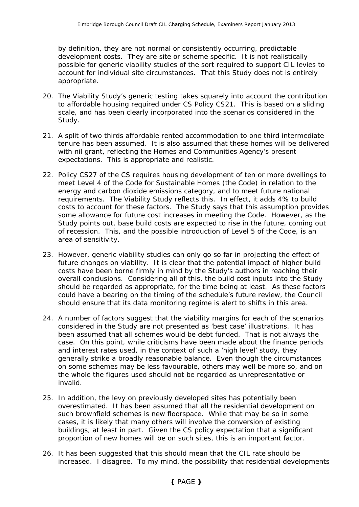by definition, they are not normal or consistently occurring, predictable development costs. They are site or scheme specific. It is not realistically possible for generic viability studies of the sort required to support CIL levies to account for individual site circumstances. That this Study does not is entirely appropriate.

- 20. The Viability Study's generic testing takes squarely into account the contribution to affordable housing required under CS Policy CS21. This is based on a sliding scale, and has been clearly incorporated into the scenarios considered in the Study.
- 21. A split of two thirds affordable rented accommodation to one third intermediate tenure has been assumed. It is also assumed that these homes will be delivered with nil grant, reflecting the Homes and Communities Agency's present expectations. This is appropriate and realistic.
- 22. Policy CS27 of the CS requires housing development of ten or more dwellings to meet Level 4 of the Code for Sustainable Homes (the Code) in relation to the energy and carbon dioxide emissions category, and to meet future national requirements. The Viability Study reflects this. In effect, it adds 4% to build costs to account for these factors. The Study says that this assumption provides some allowance for future cost increases in meeting the Code. However, as the Study points out, base build costs are expected to rise in the future, coming out of recession. This, and the possible introduction of Level 5 of the Code, is an area of sensitivity.
- 23. However, generic viability studies can only go so far in projecting the effect of future changes on viability. It is clear that the potential impact of higher build costs have been borne firmly in mind by the Study's authors in reaching their overall conclusions. Considering all of this, the build cost inputs into the Study should be regarded as appropriate, for the time being at least. As these factors could have a bearing on the timing of the schedule's future review, the Council should ensure that its data monitoring regime is alert to shifts in this area.
- 24. A number of factors suggest that the viability margins for each of the scenarios considered in the Study are not presented as 'best case' illustrations. It has been assumed that all schemes would be debt funded. That is not always the case. On this point, while criticisms have been made about the finance periods and interest rates used, in the context of such a 'high level' study, they generally strike a broadly reasonable balance. Even though the circumstances on some schemes may be less favourable, others may well be more so, and on the whole the figures used should not be regarded as unrepresentative or invalid.
- 25. In addition, the levy on previously developed sites has potentially been overestimated. It has been assumed that all the residential development on such brownfield schemes is new floorspace. While that may be so in some cases, it is likely that many others will involve the conversion of existing buildings, at least in part. Given the CS policy expectation that a significant proportion of new homes will be on such sites, this is an important factor.
- 26. It has been suggested that this should mean that the CIL rate should be increased. I disagree. To my mind, the possibility that residential developments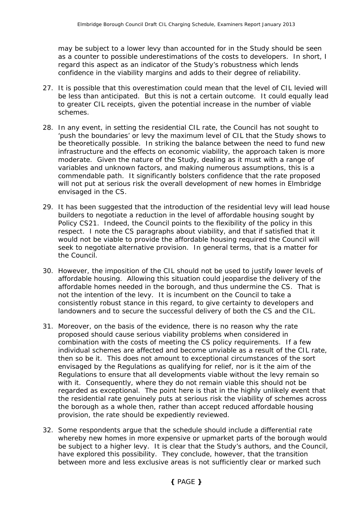may be subject to a lower levy than accounted for in the Study should be seen as a counter to possible underestimations of the costs to developers. In short, I regard this aspect as an indicator of the Study's robustness which lends confidence in the viability margins and adds to their degree of reliability.

- 27. It is possible that this overestimation could mean that the level of CIL levied will be less than anticipated. But this is not a certain outcome. It could equally lead to greater CIL receipts, given the potential increase in the number of viable schemes.
- 28. In any event, in setting the residential CIL rate, the Council has not sought to 'push the boundaries' or levy the maximum level of CIL that the Study shows to be theoretically possible. In striking the balance between the need to fund new infrastructure and the effects on economic viability, the approach taken is more moderate. Given the nature of the Study, dealing as it must with a range of variables and unknown factors, and making numerous assumptions, this is a commendable path. It significantly bolsters confidence that the rate proposed will not put at serious risk the overall development of new homes in Elmbridge envisaged in the CS.
- 29. It has been suggested that the introduction of the residential levy will lead house builders to negotiate a reduction in the level of affordable housing sought by Policy CS21. Indeed, the Council points to the flexibility of the policy in this respect. I note the CS paragraphs about viability, and that if satisfied that it would not be viable to provide the affordable housing required the Council will seek to negotiate alternative provision. In general terms, that is a matter for the Council.
- 30. However, the imposition of the CIL should not be used to justify lower levels of affordable housing. Allowing this situation could jeopardise the delivery of the affordable homes needed in the borough, and thus undermine the CS. That is not the intention of the levy. It is incumbent on the Council to take a consistently robust stance in this regard, to give certainty to developers and landowners and to secure the successful delivery of both the CS and the CIL.
- 31. Moreover, on the basis of the evidence, there is no reason why the rate proposed should cause serious viability problems when considered in combination with the costs of meeting the CS policy requirements. If a few individual schemes are affected and become unviable as a result of the CIL rate, then so be it. This does not amount to exceptional circumstances of the sort envisaged by the Regulations as qualifying for relief, nor is it the aim of the Regulations to ensure that all developments viable without the levy remain so with it. Consequently, where they do not remain viable this should not be regarded as exceptional. The point here is that in the highly unlikely event that the residential rate genuinely puts at serious risk the viability of schemes across the borough as a whole then, rather than accept reduced affordable housing provision, the rate should be expediently reviewed.
- 32. Some respondents argue that the schedule should include a differential rate whereby new homes in more expensive or upmarket parts of the borough would be subject to a higher levy. It is clear that the Study's authors, and the Council, have explored this possibility. They conclude, however, that the transition between more and less exclusive areas is not sufficiently clear or marked such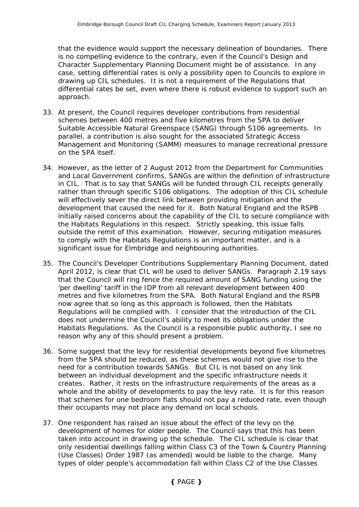that the evidence would support the necessary delineation of boundaries. There is no compelling evidence to the contrary, even if the Council's Design and Character Supplementary Planning Document might be of assistance. In any case, setting differential rates is only a possibility open to Councils to explore in drawing up CIL schedules. It is not a requirement of the Regulations that differential rates be set, even where there is robust evidence to support such an approach.

- 33. At present, the Council requires developer contributions from residential schemes between 400 metres and five kilometres from the SPA to deliver Suitable Accessible Natural Greenspace (SANG) through S106 agreements. In parallel, a contribution is also sought for the associated Strategic Access Management and Monitoring (SAMM) measures to manage recreational pressure on the SPA itself.
- 34. However, as the letter of 2 August 2012 from the Department for Communities and Local Government confirms, SANGs are within the definition of infrastructure in CIL. That is to say that SANGs will be funded through CIL receipts generally rather than through specific S106 obligations. The adoption of this CIL schedule will effectively sever the direct link between providing mitigation and the development that caused the need for it. Both Natural England and the RSPB initially raised concerns about the capability of the CIL to secure compliance with the Habitats Regulations in this respect. Strictly speaking, this issue falls outside the remit of this examination. However, securing mitigation measures to comply with the Habitats Regulations is an important matter, and is a significant issue for Elmbridge and neighbouring authorities.
- 35. The Council's *Developer Contributions* Supplementary Planning Document, dated April 2012, is clear that CIL will be used to deliver SANGs. Paragraph 2.19 says that the Council will ring fence the required amount of SANG funding using the 'per dwelling' tariff in the IDP from all relevant development between 400 metres and five kilometres from the SPA. Both Natural England and the RSPB now agree that so long as this approach is followed, then the Habitats Regulations will be complied with. I consider that the introduction of the CIL does not undermine the Council's ability to meet its obligations under the Habitats Regulations. As the Council is a responsible public authority, I see no reason why any of this should present a problem.
- 36. Some suggest that the levy for residential developments beyond five kilometres from the SPA should be reduced, as these schemes would not give rise to the need for a contribution towards SANGs. But CIL is not based on any link between an individual development and the specific infrastructure needs it creates. Rather, it rests on the infrastructure requirements of the areas as a whole and the ability of developments to pay the levy rate. It is for this reason that schemes for one bedroom flats should not pay a reduced rate, even though their occupants may not place any demand on local schools.
- 37. One respondent has raised an issue about the effect of the levy on the development of homes for older people. The Council says that this has been taken into account in drawing up the schedule. The CIL schedule is clear that only residential dwellings falling within Class C3 of the Town & Country Planning (Use Classes) Order 1987 (as amended) would be liable to the charge. Many types of older people's accommodation fall within Class C2 of the Use Classes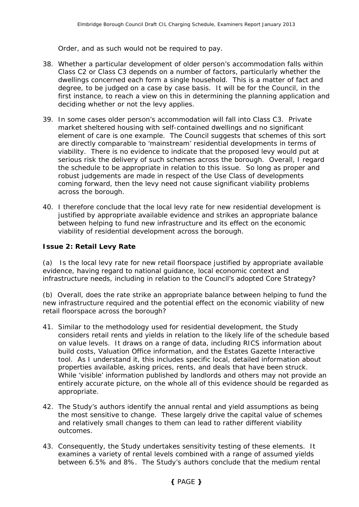Order, and as such would not be required to pay.

- 38. Whether a particular development of older person's accommodation falls within Class C2 or Class C3 depends on a number of factors, particularly whether the dwellings concerned each form a single household. This is a matter of fact and degree, to be judged on a case by case basis. It will be for the Council, in the first instance, to reach a view on this in determining the planning application and deciding whether or not the levy applies.
- 39. In some cases older person's accommodation will fall into Class C3. Private market sheltered housing with self-contained dwellings and no significant element of care is one example. The Council suggests that schemes of this sort are directly comparable to 'mainstream' residential developments in terms of viability. There is no evidence to indicate that the proposed levy would put at serious risk the delivery of such schemes across the borough. Overall, I regard the schedule to be appropriate in relation to this issue. So long as proper and robust judgements are made in respect of the Use Class of developments coming forward, then the levy need not cause significant viability problems across the borough.
- 40. I therefore conclude that the local levy rate for new residential development is justified by appropriate available evidence and strikes an appropriate balance between helping to fund new infrastructure and its effect on the economic viability of residential development across the borough.

## **Issue 2: Retail Levy Rate**

(a) *Is the local levy rate for new retail floorspace justified by appropriate available evidence, having regard to national guidance, local economic context and infrastructure needs, including in relation to the Council's adopted Core Strategy?* 

*(b) Overall, does the rate strike an appropriate balance between helping to fund the new infrastructure required and the potential effect on the economic viability of new retail floorspace across the borough?* 

- 41. Similar to the methodology used for residential development, the Study considers retail rents and yields in relation to the likely life of the schedule based on value levels. It draws on a range of data, including RICS information about build costs, Valuation Office information, and the Estates Gazette Interactive tool. As I understand it, this includes specific local, detailed information about properties available, asking prices, rents, and deals that have been struck. While 'visible' information published by landlords and others may not provide an entirely accurate picture, on the whole all of this evidence should be regarded as appropriate.
- 42. The Study's authors identify the annual rental and yield assumptions as being the most sensitive to change. These largely drive the capital value of schemes and relatively small changes to them can lead to rather different viability outcomes.
- 43. Consequently, the Study undertakes sensitivity testing of these elements. It examines a variety of rental levels combined with a range of assumed yields between 6.5% and 8%. The Study's authors conclude that the medium rental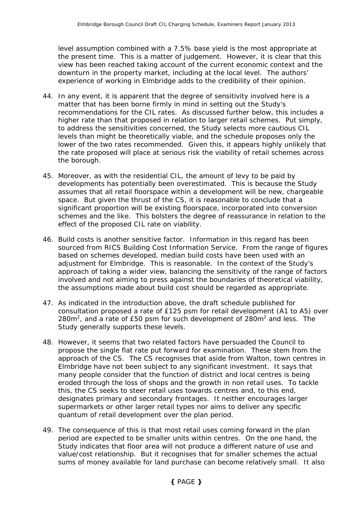level assumption combined with a 7.5% base yield is the most appropriate at the present time. This is a matter of judgement. However, it is clear that this view has been reached taking account of the current economic context and the downturn in the property market, including at the local level. The authors' experience of working in Elmbridge adds to the credibility of their opinion.

- 44. In any event, it is apparent that the degree of sensitivity involved here is a matter that has been borne firmly in mind in setting out the Study's recommendations for the CIL rates. As discussed further below, this includes a higher rate than that proposed in relation to larger retail schemes. Put simply, to address the sensitivities concerned, the Study selects more cautious CIL levels than might be theoretically viable, and the schedule proposes only the lower of the two rates recommended. Given this, it appears highly unlikely that the rate proposed will place at serious risk the viability of retail schemes across the borough.
- 45. Moreover, as with the residential CIL, the amount of levy to be paid by developments has potentially been overestimated. This is because the Study assumes that all retail floorspace within a development will be new, chargeable space. But given the thrust of the CS, it is reasonable to conclude that a significant proportion will be existing floorspace, incorporated into conversion schemes and the like. This bolsters the degree of reassurance in relation to the effect of the proposed CIL rate on viability.
- 46. Build costs is another sensitive factor. Information in this regard has been sourced from RICS Building Cost Information Service. From the range of figures based on schemes developed, median build costs have been used with an adjustment for Elmbridge. This is reasonable. In the context of the Study's approach of taking a wider view, balancing the sensitivity of the range of factors involved and not aiming to press against the boundaries of theoretical viability, the assumptions made about build cost should be regarded as appropriate.
- 47. As indicated in the introduction above, the draft schedule published for consultation proposed a rate of £125 psm for retail development (A1 to A5) over 280 $m<sup>2</sup>$ , and a rate of £50 psm for such development of 280 $m<sup>2</sup>$  and less. The Study generally supports these levels.
- 48. However, it seems that two related factors have persuaded the Council to propose the single flat rate put forward for examination. These stem from the approach of the CS. The CS recognises that aside from Walton, town centres in Elmbridge have not been subject to any significant investment. It says that many people consider that the function of district and local centres is being eroded through the loss of shops and the growth in non retail uses. To tackle this, the CS seeks to steer retail uses towards centres and, to this end, designates primary and secondary frontages. It neither encourages larger supermarkets or other larger retail types nor aims to deliver any specific quantum of retail development over the plan period.
- 49. The consequence of this is that most retail uses coming forward in the plan period are expected to be smaller units within centres. On the one hand, the Study indicates that floor area will not produce a different nature of use and value/cost relationship. But it recognises that for smaller schemes the actual sums of money available for land purchase can become relatively small. It also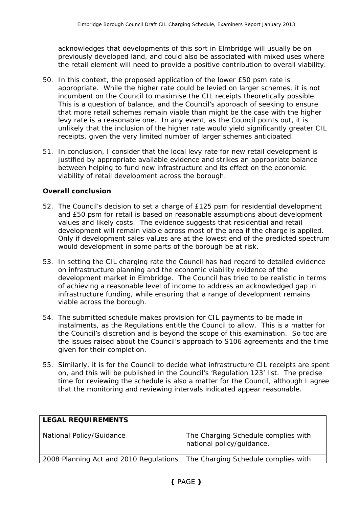acknowledges that developments of this sort in Elmbridge will usually be on previously developed land, and could also be associated with mixed uses where the retail element will need to provide a positive contribution to overall viability.

- 50. In this context, the proposed application of the lower £50 psm rate is appropriate. While the higher rate could be levied on larger schemes, it is not incumbent on the Council to maximise the CIL receipts theoretically possible. This is a question of balance, and the Council's approach of seeking to ensure that more retail schemes remain viable than might be the case with the higher levy rate is a reasonable one. In any event, as the Council points out, it is unlikely that the inclusion of the higher rate would yield significantly greater CIL receipts, given the very limited number of larger schemes anticipated.
- 51. In conclusion, I consider that the local levy rate for new retail development is justified by appropriate available evidence and strikes an appropriate balance between helping to fund new infrastructure and its effect on the economic viability of retail development across the borough.

## **Overall conclusion**

- 52. The Council's decision to set a charge of £125 psm for residential development and £50 psm for retail is based on reasonable assumptions about development values and likely costs. The evidence suggests that residential and retail development will remain viable across most of the area if the charge is applied. Only if development sales values are at the lowest end of the predicted spectrum would development in some parts of the borough be at risk.
- 53. In setting the CIL charging rate the Council has had regard to detailed evidence on infrastructure planning and the economic viability evidence of the development market in Elmbridge. The Council has tried to be realistic in terms of achieving a reasonable level of income to address an acknowledged gap in infrastructure funding, while ensuring that a range of development remains viable across the borough.
- 54. The submitted schedule makes provision for CIL payments to be made in instalments, as the Regulations entitle the Council to allow. This is a matter for the Council's discretion and is beyond the scope of this examination. So too are the issues raised about the Council's approach to S106 agreements and the time given for their completion.
- 55. Similarly, it is for the Council to decide what infrastructure CIL receipts are spent on, and this will be published in the Council's 'Regulation 123' list. The precise time for reviewing the schedule is also a matter for the Council, although I agree that the monitoring and reviewing intervals indicated appear reasonable.

| <b>LEGAL REQUIREMENTS</b>                                                    |                                                                  |
|------------------------------------------------------------------------------|------------------------------------------------------------------|
| National Policy/Guidance                                                     | The Charging Schedule complies with<br>national policy/guidance. |
| 2008 Planning Act and 2010 Regulations   The Charging Schedule complies with |                                                                  |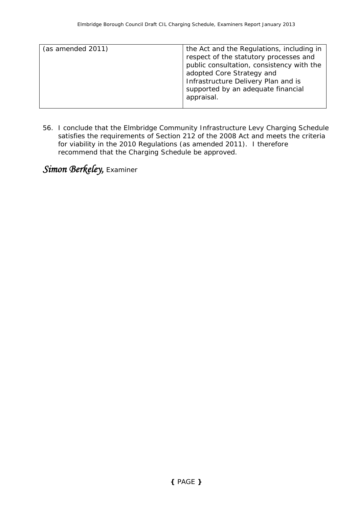| (as amended 2011) | the Act and the Regulations, including in<br>respect of the statutory processes and<br>public consultation, consistency with the<br>adopted Core Strategy and<br>Infrastructure Delivery Plan and is |
|-------------------|------------------------------------------------------------------------------------------------------------------------------------------------------------------------------------------------------|
|                   | supported by an adequate financial<br>appraisal.                                                                                                                                                     |

56. I conclude that the Elmbridge Community Infrastructure Levy Charging Schedule satisfies the requirements of Section 212 of the 2008 Act and meets the criteria for viability in the 2010 Regulations (as amended 2011). I therefore recommend that the Charging Schedule be approved.

*Simon Berkeley,* Examiner